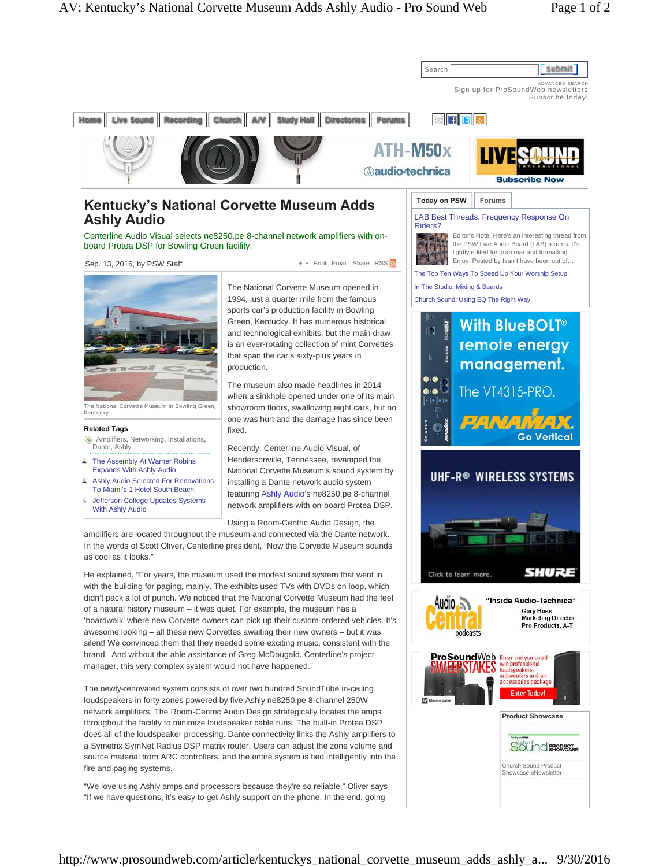